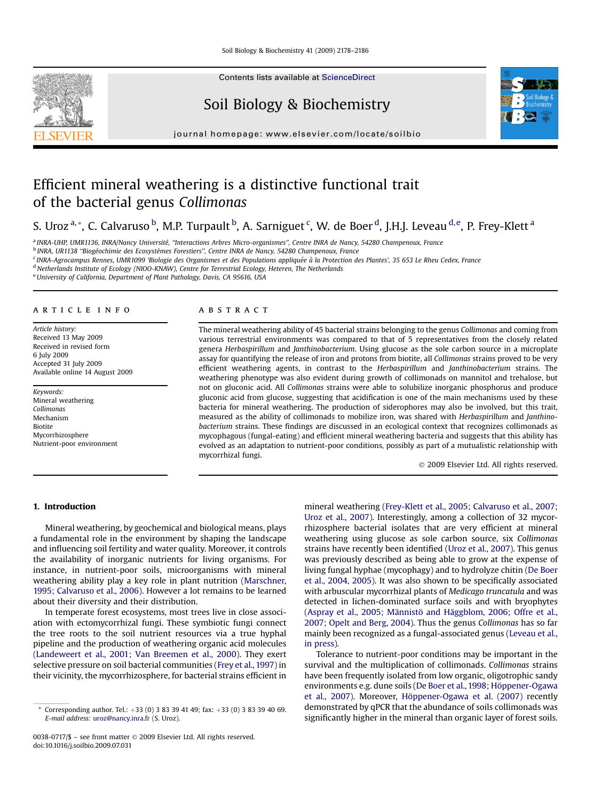Contents lists available at [ScienceDirect](www.sciencedirect.com/science/journal/00380717)

# Soil Biology & Biochemistry

journal homepage: [www.elsevier.com/locate/soilbio](http://www.elsevier.com/locate/soilbio)



# Efficient mineral weathering is a distinctive functional trait of the bacterial genus Collimonas

## S. Uroz <sup>a,</sup>\*, C. Calvaruso <sup>b</sup>, M.P. Turpault <sup>b</sup>, A. Sarniguet <sup>c</sup>, W. de Boer <sup>d</sup>, J.H.J. Leveau <sup>d,e</sup>, P. Frey-Klett <sup>a</sup>

a INRA-UHP, UMR1136, INRA/Nancy Université, "Interactions Arbres Micro-organismes", Centre INRA de Nancy, 54280 Champenoux, France

<sup>b</sup> INRA, UR1138 "Biogéochimie des Ecosystèmes Forestiers", Centre INRA de Nancy, 54280 Champenoux, France

<sup>c</sup> INRA-Agrocampus Rennes, UMR1099 'Biologie des Organismes et des Populations appliquée à la Protection des Plantes', 35 653 Le Rheu Cedex, France

<sup>d</sup> Netherlands Institute of Ecology (NIOO-KNAW), Centre for Terrestrial Ecology, Heteren, The Netherlands

e University of California, Department of Plant Pathology, Davis, CA 95616, USA

#### article info

Article history: Received 13 May 2009 Received in revised form 6 July 2009 Accepted 31 July 2009 Available online 14 August 2009

Keywords: Mineral weathering Collimonas Mechanism Biotite Mycorrhizosphere Nutrient-poor environment

#### **ABSTRACT**

The mineral weathering ability of 45 bacterial strains belonging to the genus Collimonas and coming from various terrestrial environments was compared to that of 5 representatives from the closely related genera Herbaspirillum and Janthinobacterium. Using glucose as the sole carbon source in a microplate assay for quantifying the release of iron and protons from biotite, all Collimonas strains proved to be very efficient weathering agents, in contrast to the Herbaspirillum and Janthinobacterium strains. The weathering phenotype was also evident during growth of collimonads on mannitol and trehalose, but not on gluconic acid. All Collimonas strains were able to solubilize inorganic phosphorus and produce gluconic acid from glucose, suggesting that acidification is one of the main mechanisms used by these bacteria for mineral weathering. The production of siderophores may also be involved, but this trait, measured as the ability of collimonads to mobilize iron, was shared with Herbaspirillum and Janthinobacterium strains. These findings are discussed in an ecological context that recognizes collimonads as mycophagous (fungal-eating) and efficient mineral weathering bacteria and suggests that this ability has evolved as an adaptation to nutrient-poor conditions, possibly as part of a mutualistic relationship with mycorrhizal fungi.

- 2009 Elsevier Ltd. All rights reserved.

## 1. Introduction

Mineral weathering, by geochemical and biological means, plays a fundamental role in the environment by shaping the landscape and influencing soil fertility and water quality. Moreover, it controls the availability of inorganic nutrients for living organisms. For instance, in nutrient-poor soils, microorganisms with mineral weathering ability play a key role in plant nutrition ([Marschner,](#page-8-0) [1995; Calvaruso et al., 2006\)](#page-8-0). However a lot remains to be learned about their diversity and their distribution.

In temperate forest ecosystems, most trees live in close association with ectomycorrhizal fungi. These symbiotic fungi connect the tree roots to the soil nutrient resources via a true hyphal pipeline and the production of weathering organic acid molecules ([Landeweert et al., 2001; Van Breemen et al., 2000](#page-7-0)). They exert selective pressure on soil bacterial communities [\(Frey et al., 1997\)](#page-7-0) in their vicinity, the mycorrhizosphere, for bacterial strains efficient in mineral weathering [\(Frey-Klett et al., 2005; Calvaruso et al., 2007;](#page-7-0) [Uroz et al., 2007](#page-7-0)). Interestingly, among a collection of 32 mycorrhizosphere bacterial isolates that are very efficient at mineral weathering using glucose as sole carbon source, six Collimonas strains have recently been identified [\(Uroz et al., 2007\)](#page-8-0). This genus was previously described as being able to grow at the expense of living fungal hyphae (mycophagy) and to hydrolyze chitin [\(De Boer](#page-7-0) [et al., 2004, 2005](#page-7-0)). It was also shown to be specifically associated with arbuscular mycorrhizal plants of Medicago truncatula and was detected in lichen-dominated surface soils and with bryophytes (Aspray et al., 2005; Männistö and Häggblom, 2006; Offre et al., [2007; Opelt and Berg, 2004\)](#page-7-0). Thus the genus Collimonas has so far mainly been recognized as a fungal-associated genus ([Leveau et al.,](#page-7-0) [in press](#page-7-0)).

Tolerance to nutrient-poor conditions may be important in the survival and the multiplication of collimonads. Collimonas strains have been frequently isolated from low organic, oligotrophic sandy environments e.g. dune soils (De Boer et al., 1998; Höppener-Ogawa [et al., 2007](#page-7-0)). Moreover, Höppener-Ogawa et al. (2007) recently demonstrated by qPCR that the abundance of soils collimonads was significantly higher in the mineral than organic layer of forest soils.



Corresponding author. Tel.:  $+33$  (0) 3 83 39 41 49; fax:  $+33$  (0) 3 83 39 40 69. E-mail address: [uroz@nancy.inra.fr](mailto:uroz@nancy.inra.fr) (S. Uroz).

<sup>0038-0717/\$ –</sup> see front matter © 2009 Elsevier Ltd. All rights reserved. doi:10.1016/j.soilbio.2009.07.031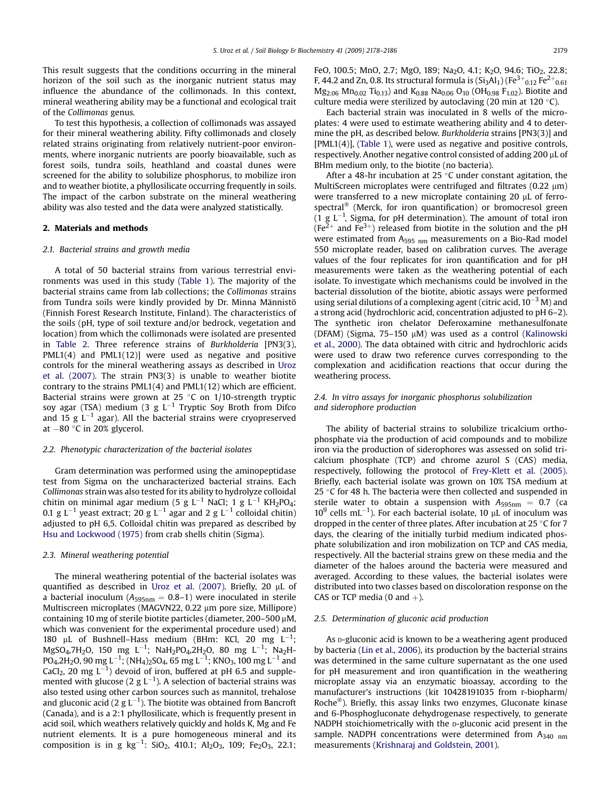This result suggests that the conditions occurring in the mineral horizon of the soil such as the inorganic nutrient status may influence the abundance of the collimonads. In this context, mineral weathering ability may be a functional and ecological trait of the Collimonas genus.

To test this hypothesis, a collection of collimonads was assayed for their mineral weathering ability. Fifty collimonads and closely related strains originating from relatively nutrient-poor environments, where inorganic nutrients are poorly bioavailable, such as forest soils, tundra soils, heathland and coastal dunes were screened for the ability to solubilize phosphorus, to mobilize iron and to weather biotite, a phyllosilicate occurring frequently in soils. The impact of the carbon substrate on the mineral weathering ability was also tested and the data were analyzed statistically.

#### 2. Materials and methods

#### 2.1. Bacterial strains and growth media

A total of 50 bacterial strains from various terrestrial environments was used in this study ([Table 1](#page-2-0)). The majority of the bacterial strains came from lab collections; the Collimonas strains from Tundra soils were kindly provided by Dr. Minna Männistö (Finnish Forest Research Institute, Finland). The characteristics of the soils (pH, type of soil texture and/or bedrock, vegetation and location) from which the collimonads were isolated are presented in [Table 2.](#page-3-0) Three reference strains of Burkholderia [PN3(3), PML1(4) and PML1(12)] were used as negative and positive controls for the mineral weathering assays as described in [Uroz](#page-8-0) [et al. \(2007\).](#page-8-0) The strain PN3(3) is unable to weather biotite contrary to the strains PML1(4) and PML1(12) which are efficient. Bacterial strains were grown at 25  $\degree$ C on 1/10-strength tryptic soy agar (TSA) medium (3 g  $L^{-1}$  Tryptic Soy Broth from Difco and 15 g  $L^{-1}$  agar). All the bacterial strains were cryopreserved at  $-80$  °C in 20% glycerol.

#### 2.2. Phenotypic characterization of the bacterial isolates

Gram determination was performed using the aminopeptidase test from Sigma on the uncharacterized bacterial strains. Each Collimonas strain was also tested for its ability to hydrolyze colloidal chitin on minimal agar medium (5 g  $L^{-1}$  NaCl; 1 g  $L^{-1}$  KH<sub>2</sub>PO<sub>4</sub>; 0.1 g L<sup>-1</sup> yeast extract; 20 g L<sup>-1</sup> agar and 2 g L<sup>-1</sup> colloidal chitin) adjusted to pH 6,5. Colloidal chitin was prepared as described by [Hsu and Lockwood \(1975\)](#page-7-0) from crab shells chitin (Sigma).

#### 2.3. Mineral weathering potential

The mineral weathering potential of the bacterial isolates was quantified as described in [Uroz et al. \(2007\)](#page-8-0). Briefly, 20  $\mu$ L of a bacterial inoculum ( $A_{595nm} = 0.8-1$ ) were inoculated in sterile Multiscreen microplates (MAGVN22, 0.22 µm pore size, Millipore) containing 10 mg of sterile biotite particles (diameter,  $200-500 \mu M$ , which was convenient for the experimental procedure used) and 180 µL of Bushnell-Hass medium (BHm: KCl, 20 mg  $L^{-1}$ ;  $\rm MgSO_4$ ,7H $\rm _2O$ , 150 mg L $^{-1}$ ; NaH $\rm _2$ PO $\rm _4$ ,2H $\rm _2O$ , 80 mg L $^{-1}$ ; Na $\rm _2$ H-PO4,2H2O, 90 mg L $^{-1}$ ; (NH4)2SO4, 65 mg L $^{-1}$ ; KNO3, 100 mg L $^{-1}$  and CaCl<sub>2</sub>, 20 mg  $L^{-1}$ ) devoid of iron, buffered at pH 6.5 and supplemented with glucose (2 g L $^{-1}$ ). A selection of bacterial strains was also tested using other carbon sources such as mannitol, trehalose and gluconic acid (2 g L $^{-1}$ ). The biotite was obtained from Bancroft (Canada), and is a 2:1 phyllosilicate, which is frequently present in acid soil, which weathers relatively quickly and holds K, Mg and Fe nutrient elements. It is a pure homogeneous mineral and its composition is in g  $kg^{-1}$ : SiO<sub>2</sub>, 410.1; Al<sub>2</sub>O<sub>3</sub>, 109; Fe<sub>2</sub>O<sub>3</sub>, 22.1;

FeO, 100.5; MnO, 2.7; MgO, 189; Na<sub>2</sub>O, 4.1; K<sub>2</sub>O, 94.6; TiO<sub>2</sub>, 22.8; F, 44.2 and Zn, 0.8. Its structural formula is (Si3Al $_1$ ) (Fe $\rm{^{3+}}_{0.12}$  Fe $\rm{^{2+}}_{0.61}$  $Mg_{2.06}$   $Mn_{0.02}$  Ti<sub>0.13</sub>) and  $K_{0.88}$  Na<sub>0.06</sub> O<sub>10</sub> (OH<sub>0.98</sub> F<sub>1.02</sub>). Biotite and culture media were sterilized by autoclaving (20 min at 120 $\,^{\circ}$ C).

Each bacterial strain was inoculated in 8 wells of the microplates: 4 were used to estimate weathering ability and 4 to determine the pH, as described below. Burkholderia strains [PN3(3)] and [PML1(4)], [\(Table 1\)](#page-2-0), were used as negative and positive controls, respectively. Another negative control consisted of adding 200 µL of BHm medium only, to the biotite (no bacteria).

After a 48-hr incubation at 25 $\degree$ C under constant agitation, the MultiScreen microplates were centrifuged and filtrates  $(0.22 \mu m)$ were transferred to a new microplate containing 20 µL of ferrospectral<sup>®</sup> (Merck, for iron quantification) or bromocresol green (1 g  $L^{-1}$ , Sigma, for pH determination). The amount of total iron  $(Fe<sup>2+</sup>$  and Fe<sup>3+</sup>) released from biotite in the solution and the pH were estimated from A<sub>595 nm</sub> measurements on a Bio-Rad model 550 microplate reader, based on calibration curves. The average values of the four replicates for iron quantification and for pH measurements were taken as the weathering potential of each isolate. To investigate which mechanisms could be involved in the bacterial dissolution of the biotite, abiotic assays were performed using serial dilutions of a complexing agent (citric acid,  $10^{-3}$  M) and a strong acid (hydrochloric acid, concentration adjusted to pH 6–2). The synthetic iron chelator Deferoxamine methanesulfonate (DFAM) (Sigma,  $75-150 \mu$ M) was used as a control [\(Kalinowski](#page-7-0) [et al., 2000](#page-7-0)). The data obtained with citric and hydrochloric acids were used to draw two reference curves corresponding to the complexation and acidification reactions that occur during the weathering process.

## 2.4. In vitro assays for inorganic phosphorus solubilization and siderophore production

The ability of bacterial strains to solubilize tricalcium orthophosphate via the production of acid compounds and to mobilize iron via the production of siderophores was assessed on solid tricalcium phosphate (TCP) and chrome azurol S (CAS) media, respectively, following the protocol of [Frey-Klett et al. \(2005\).](#page-7-0) Briefly, each bacterial isolate was grown on 10% TSA medium at 25  $\degree$ C for 48 h. The bacteria were then collected and suspended in sterile water to obtain a suspension with  $A_{595nm} = 0.7$  (ca  $10^9$  cells mL<sup>-1</sup>). For each bacterial isolate, 10  $\mu$ L of inoculum was dropped in the center of three plates. After incubation at  $25$  °C for 7 days, the clearing of the initially turbid medium indicated phosphate solubilization and iron mobilization on TCP and CAS media, respectively. All the bacterial strains grew on these media and the diameter of the haloes around the bacteria were measured and averaged. According to these values, the bacterial isolates were distributed into two classes based on discoloration response on the CAS or TCP media (0 and  $+$ ).

#### 2.5. Determination of gluconic acid production

As **D-gluconic acid is known to be a weathering agent produced** by bacteria [\(Lin et al., 2006\)](#page-7-0), its production by the bacterial strains was determined in the same culture supernatant as the one used for pH measurement and iron quantification in the weathering microplate assay via an enzymatic bioassay, according to the manufacturer's instructions (kit 10428191035 from r-biopharm/ Roche $\mathbb{S}^{\infty}$ ). Briefly, this assay links two enzymes, Gluconate kinase and 6-Phosphogluconate dehydrogenase respectively, to generate NADPH stoichiometrically with the D-gluconic acid present in the sample. NADPH concentrations were determined from  $A_{340 \text{ nm}}$ measurements ([Krishnaraj and Goldstein, 2001](#page-7-0)).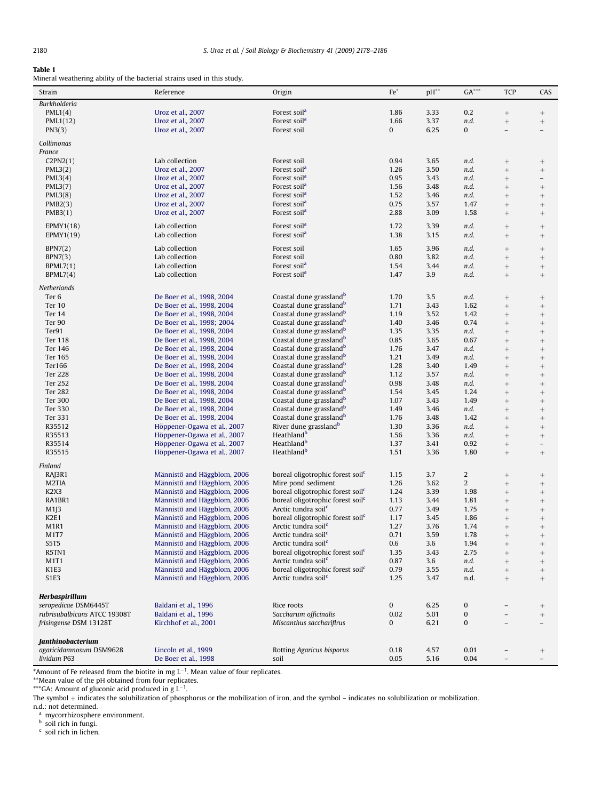#### <span id="page-2-0"></span>Table 1

Mineral weathering ability of the bacterial strains used in this study.

| Strain                        | Reference                   | Origin                                       | $Fe*$        | $pH^{**}$ | $GA***$          | <b>TCP</b>               | CAS                               |
|-------------------------------|-----------------------------|----------------------------------------------|--------------|-----------|------------------|--------------------------|-----------------------------------|
| <b>Burkholderia</b>           |                             |                                              |              |           |                  |                          |                                   |
| PML1(4)                       | Uroz et al., 2007           | Forest soil <sup>a</sup>                     | 1.86         | 3.33      | 0.2              |                          |                                   |
| PML1(12)                      | Uroz et al., 2007           | Forest soil <sup>a</sup>                     | 1.66         | 3.37      | n.d.             | $^+$                     | $\hspace{1.0cm} + \hspace{1.0cm}$ |
| PN3(3)                        | Uroz et al., 2007           | Forest soil                                  | $\mathbf{0}$ | 6.25      | 0                | $\overline{\phantom{0}}$ | $\overline{a}$                    |
|                               |                             |                                              |              |           |                  |                          |                                   |
| Collimonas                    |                             |                                              |              |           |                  |                          |                                   |
| France                        |                             |                                              |              |           |                  |                          |                                   |
| C2PN2(1)                      | Lab collection              | Forest soil                                  | 0.94         | 3.65      | n.d.             |                          |                                   |
| PML3(2)                       | Uroz et al., 2007           | Forest soil <sup>a</sup>                     | 1.26         | 3.50      | n.d.             | $\! +$                   | $\qquad \qquad +$                 |
| PML3(4)                       | Uroz et al., 2007           | Forest soil <sup>a</sup>                     | 0.95         | 3.43      | n.d.             | $^{+}$                   | $\overline{\phantom{0}}$          |
|                               | Uroz et al., 2007           | Forest soil <sup>a</sup>                     | 1.56         | 3.48      | n.d.             |                          |                                   |
| PML3(7)                       |                             |                                              |              |           |                  | $^{+}$                   | $^+$                              |
| PML3(8)                       | Uroz et al., 2007           | Forest soil <sup>a</sup>                     | 1.52         | 3.46      | n.d.             | $^{+}$                   | $\qquad \qquad +$                 |
| PMB2(3)                       | Uroz et al., 2007           | Forest soil <sup>a</sup>                     | 0.75         | 3.57      | 1.47             | $^{+}$                   |                                   |
| PMB3(1)                       | Uroz et al., 2007           | Forest soil <sup>a</sup>                     | 2.88         | 3.09      | 1.58             | $\! + \!\!\!\!$          |                                   |
| EPMY1(18)                     | Lab collection              | Forest soil <sup>a</sup>                     | 1.72         | 3.39      | n.d.             |                          |                                   |
| EPMY1(19)                     | Lab collection              | Forest soil <sup>a</sup>                     | 1.38         | 3.15      | n.d.             |                          |                                   |
|                               |                             |                                              |              |           |                  |                          | $^+ \,$                           |
| BPN7(2)                       | Lab collection              | Forest soil                                  | 1.65         | 3.96      | n.d.             | $^{+}$                   | $\qquad \qquad +$                 |
| BPN7(3)                       | Lab collection              | Forest soil                                  | 0.80         | 3.82      | n.d.             | $^{+}$                   | $\qquad \qquad +$                 |
| BPML7(1)                      | Lab collection              | Forest soil <sup>a</sup>                     | 1.54         | 3.44      | n.d.             | $\! + \!\!\!\!$          | $\qquad \qquad +$                 |
| BPML7(4)                      | Lab collection              | Forest soil <sup>a</sup>                     | 1.47         | 3.9       | n.d.             |                          |                                   |
|                               |                             |                                              |              |           |                  | $\! + \!\!\!\!$          | $^+$                              |
| Netherlands                   |                             |                                              |              |           |                  |                          |                                   |
| Ter <sub>6</sub>              | De Boer et al., 1998, 2004  | Coastal dune grassland <sup>b</sup>          | 1.70         | 3.5       | n.d.             |                          | $\! +$                            |
| Ter 10                        | De Boer et al., 1998, 2004  | Coastal dune grassland <sup>b</sup>          | 1.71         | 3.43      | 1.62             | $^{+}$                   | $\qquad \qquad +$                 |
| Ter 14                        |                             | Coastal dune grassland <sup>b</sup>          | 1.19         |           |                  |                          |                                   |
|                               | De Boer et al., 1998, 2004  |                                              |              | 3.52      | 1.42             | $^{+}$                   | $\! + \!\!\!\!$                   |
| Ter 90                        | De Boer et al., 1998; 2004  | Coastal dune grassland <sup>b</sup>          | 1.40         | 3.46      | 0.74             |                          | $\qquad \qquad +$                 |
| Ter91                         | De Boer et al., 1998, 2004  | Coastal dune grassland <sup>b</sup>          | 1.35         | 3.35      | n.d.             | $^{+}$                   | $\qquad \qquad +$                 |
| Ter 118                       | De Boer et al., 1998, 2004  | Coastal dune grassland <sup>b</sup>          | 0.85         | 3.65      | 0.67             | $^{+}$                   |                                   |
| Ter 146                       | De Boer et al., 1998, 2004  | Coastal dune grassland <sup>b</sup>          | 1.76         | 3.47      | n.d.             |                          | $\qquad \qquad +$                 |
| Ter 165                       | De Boer et al., 1998, 2004  | Coastal dune grassland <sup>b</sup>          | 1.21         | 3.49      | n.d.             | $^{+}$                   | $\qquad \qquad +$                 |
| Ter166                        | De Boer et al., 1998, 2004  | Coastal dune grassland <sup>b</sup>          | 1.28         | 3.40      | 1.49             | $^{+}$                   | $\qquad \qquad +$                 |
| <b>Ter 228</b>                | De Boer et al., 1998, 2004  | Coastal dune grassland <sup>b</sup>          | 1.12         | 3.57      | n.d.             | $^{+}$                   |                                   |
| Ter 252                       | De Boer et al., 1998, 2004  | Coastal dune grassland <sup>b</sup>          | 0.98         | 3.48      | n.d.             | $^{+}$                   |                                   |
|                               |                             |                                              |              |           |                  |                          | $\qquad \qquad +$                 |
| <b>Ter 282</b>                | De Boer et al., 1998, 2004  | Coastal dune grassland <sup>b</sup>          | 1.54         | 3.45      | 1.24             | $^{+}$                   | $\qquad \qquad +$                 |
| Ter 300                       | De Boer et al., 1998, 2004  | Coastal dune grassland <sup>b</sup>          | 1.07         | 3.43      | 1.49             | $^{+}$                   |                                   |
| Ter 330                       | De Boer et al., 1998, 2004  | Coastal dune grassland <sup>b</sup>          | 1.49         | 3.46      | n.d.             | $^{+}$                   | $\qquad \qquad +$                 |
| Ter 331                       | De Boer et al., 1998, 2004  | Coastal dune grassland <sup>b</sup>          | 1.76         | 3.48      | 1.42             | $^{+}$                   | $\qquad \qquad +$                 |
| R35512                        | Höppener-Ogawa et al., 2007 | River dune grassland <sup>b</sup>            | 1.30         | 3.36      | n.d.             | $^{+}$                   | $\qquad \qquad +$                 |
| R35513                        | Höppener-Ogawa et al., 2007 | Heathland <sup>b</sup>                       | 1.56         | 3.36      | n.d.             | $^{+}$                   | $\! + \!\!\!\!$                   |
| R35514                        | Höppener-Ogawa et al., 2007 | Heathland <sup>b</sup>                       | 1.37         | 3.41      | 0.92             | $\! + \!\!\!\!$          | $\overline{\phantom{0}}$          |
| R35515                        | Höppener-Ogawa et al., 2007 | Heathland <sup>b</sup>                       | 1.51         | 3.36      | 1.80             | $^{+}$                   | $^{+}$                            |
|                               |                             |                                              |              |           |                  |                          |                                   |
| Finland                       |                             |                                              |              |           |                  |                          |                                   |
| RAJ3R1                        | Männistö and Häggblom, 2006 | boreal oligotrophic forest soil <sup>c</sup> | 1.15         | 3.7       | $\boldsymbol{2}$ |                          | $^+$                              |
| M2TIA                         | Männistö and Häggblom, 2006 | Mire pond sediment                           | 1.26         | 3.62      | $\overline{2}$   |                          |                                   |
| K <sub>2</sub> X <sub>3</sub> | Männistö and Häggblom, 2006 | boreal oligotrophic forest soil <sup>c</sup> | 1.24         | 3.39      | 1.98             | $^{+}$                   | $^+$                              |
| RA1BR1                        | Männistö and Häggblom, 2006 | boreal oligotrophic forest soil <sup>c</sup> | 1.13         | 3.44      | 1.81             | $^{+}$                   | $\qquad \qquad +$                 |
|                               | Männistö and Häggblom, 2006 | Arctic tundra soil <sup>c</sup>              | 0.77         | 3.49      | 1.75             |                          |                                   |
| M1J3                          |                             |                                              |              |           |                  | $^{+}$                   |                                   |
| K <sub>2E1</sub>              | Männistö and Häggblom, 2006 | boreal oligotrophic forest soil <sup>c</sup> | 1.17         | 3.45      | 1.86             | $^{+}$                   | $\qquad \qquad +$                 |
| M1R1                          | Männistö and Häggblom, 2006 | Arctic tundra soil <sup>c</sup>              | 1.27         | 3.76      | 1.74             |                          | $\qquad \qquad +$                 |
| M1T7                          | Männistö and Häggblom, 2006 | Arctic tundra soil <sup>c</sup>              | 0.71         | 3.59      | 1.78             | $^{+}$                   | $^{+}$                            |
| S5T5                          | Männistö and Häggblom, 2006 | Arctic tundra soil <sup>c</sup>              | 0.6          | 3.6       | 1.94             |                          |                                   |
| R5TN1                         | Männistö and Häggblom, 2006 | boreal oligotrophic forest soil <sup>c</sup> | 1.35         | 3.43      | 2.75             | $^{+}$                   | $^+$                              |
| M1T1                          | Männistö and Häggblom, 2006 | Arctic tundra soil <sup>c</sup>              | 0.87         | 3.6       | n.d.             | $^{+}$                   |                                   |
| K1E3                          | Männistö and Häggblom, 2006 | boreal oligotrophic forest soil <sup>c</sup> | 0.79         | 3.55      | n.d.             | $^{+}$                   | $\qquad \qquad +$                 |
| S1E3                          | Männistö and Häggblom, 2006 | Arctic tundra soil <sup>c</sup>              | 1.25         | 3.47      | n.d.             | $^{+}$                   | $^+$                              |
|                               |                             |                                              |              |           |                  |                          |                                   |
|                               |                             |                                              |              |           |                  |                          |                                   |
| Herbaspirillum                |                             |                                              |              |           |                  |                          |                                   |
| seropedicae DSM6445T          | Baldani et al., 1996        | Rice roots                                   | 0            | 6.25      | $\bf{0}$         |                          | $\! +$                            |
| rubrisubalbicans ATCC 19308T  | Baldani et al., 1996        | Saccharum officinalis                        | 0.02         | 5.01      | $\pmb{0}$        |                          | $\qquad \qquad +$                 |
| frisingense DSM 13128T        | Kirchhof et al., 2001       | Miscanthus sacchariflrus                     | 0            | 6.21      | $\bf{0}$         |                          |                                   |
|                               |                             |                                              |              |           |                  |                          |                                   |
| Janthinobacterium             |                             |                                              |              |           |                  |                          |                                   |
| agaricidamnosum DSM9628       | Lincoln et al., 1999        | Rotting Agaricus bisporus                    | 0.18         | 4.57      | 0.01             |                          | $\! +$                            |
| lividum P63                   | De Boer et al., 1998        |                                              | 0.05         | 5.16      | 0.04             |                          |                                   |
|                               |                             | soil                                         |              |           |                  |                          |                                   |

\*Amount of Fe released from the biotite in mg  $L^{-1}$ . Mean value of four replicates.

 $^{**}$ Mean value of the pH obtained from four replicates.<br> $^{***}$ GA: Amount of gluconic acid produced in g L<sup>-1</sup>.

The symbol  $+$  indicates the solubilization of phosphorus or the mobilization of iron, and the symbol – indicates no solubilization or mobilization.

n.d.: not determined.

<sup>a</sup> mycorrhizosphere environment.

<sup>b</sup> soil rich in fungi.

 $\frac{c}{c}$  soil rich in lichen.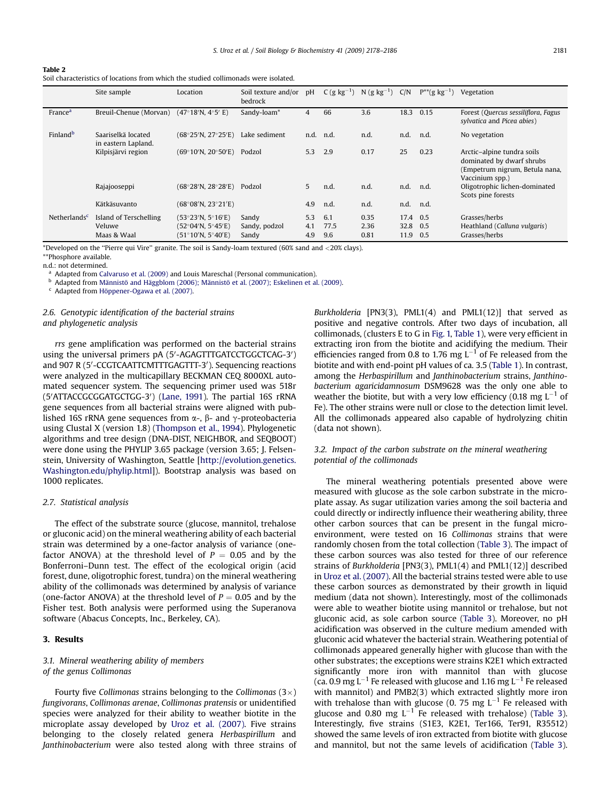<span id="page-3-0"></span>

| Table 2                                                                             |
|-------------------------------------------------------------------------------------|
| Soil characteristics of locations from which the studied collimonads were isolated. |

|                            | Site sample                                     | Location                                                       | Soil texture and/or<br>bedrock  | pH                | $C(g kg^{-1})$     | $N(g kg^{-1})$ C/N   |                      | $P^{**}(g \text{ kg}^{-1})$ | Vegetation                                                                                                   |
|----------------------------|-------------------------------------------------|----------------------------------------------------------------|---------------------------------|-------------------|--------------------|----------------------|----------------------|-----------------------------|--------------------------------------------------------------------------------------------------------------|
| <b>France</b> <sup>a</sup> | Breuil-Chenue (Morvan)                          | $(47^{\circ}18^{\prime}N, 4^{\circ}5^{\prime}E)$               | Sandy-loam*                     | 4                 | 66                 | 3.6                  | 18.3                 | 0.15                        | Forest (Quercus sessiliflora, Fagus<br>sylvatica and Picea abies)                                            |
| Finland <sup>b</sup>       | Saariselkä located<br>in eastern Lapland.       | (68°25'N, 27°25'E)                                             | Lake sediment                   |                   | n.d. n.d.          | n.d.                 | n.d.                 | n.d.                        | No vegetation                                                                                                |
|                            | Kilpisjärvi region                              | $(69°10'$ N, 20°50′E)                                          | Podzol                          | 5.3               | 2.9                | 0.17                 | 25                   | 0.23                        | Arctic-alpine tundra soils<br>dominated by dwarf shrubs<br>(Empetrum nigrum, Betula nana,<br>Vaccinium spp.) |
|                            | Rajajooseppi                                    | $(68^{\circ}28^{\prime}N, 28^{\circ}28^{\prime}E)$             | Podzol                          | 5                 | n.d.               | n.d.                 | n.d.                 | n.d.                        | Oligotrophic lichen-dominated<br>Scots pine forests                                                          |
|                            | Kätkäsuvanto                                    | (68°08'N, 23°21'E)                                             |                                 | 4.9               | n.d.               | n.d.                 | n.d.                 | n.d.                        |                                                                                                              |
| Netherlands <sup>c</sup>   | Island of Terschelling<br>Veluwe<br>Maas & Waal | (53°23'N. 5°16'E)<br>(52°04'N, 5°45'E)<br>$(51°10'$ N, 5°40'E) | Sandy<br>Sandy, podzol<br>Sandy | 5.3<br>4.1<br>4.9 | 6.1<br>77.5<br>9.6 | 0.35<br>2.36<br>0.81 | 17.4<br>32.8<br>11.9 | 0.5<br>0.5<br>0.5           | Grasses/herbs<br>Heathland (Calluna vulgaris)<br>Grasses/herbs                                               |

\*Developed on the ''Pierre qui Vire'' granite. The soil is Sandy-loam textured (60% sand and <20% clays).

\*\*Phosphore available.

n.d.: not determined.

Adapted from [Calvaruso et al. \(2009\)](#page-7-0) and Louis Mareschal (Personal communication).

Adapted from Männistö and Häggblom (2006); Männistö [et al. \(2007\); Eskelinen et al. \(2009\).](#page-7-0)

Adapted from Höppener-Ogawa et al. (2007).

## 2.6. Genotypic identification of the bacterial strains and phylogenetic analysis

rrs gene amplification was performed on the bacterial strains using the universal primers pA (5'-AGAGTTTGATCCTGGCTCAG-3') and 907 R (5'-CCGTCAATTCMTTTGAGTTT-3'). Sequencing reactions were analyzed in the multicapillary BECKMAN CEQ 8000XL automated sequencer system. The sequencing primer used was 518r (5'ATTACCGCGGATGCTGG-3') [\(Lane, 1991](#page-7-0)). The partial 16S rRNA gene sequences from all bacterial strains were aligned with published 16S rRNA gene sequences from  $\alpha$ -,  $\beta$ - and  $\gamma$ -proteobacteria using Clustal X (version 1.8) [\(Thompson et al., 1994\)](#page-8-0). Phylogenetic algorithms and tree design (DNA-DIST, NEIGHBOR, and SEQBOOT) were done using the PHYLIP 3.65 package (version 3.65; J. Felsenstein, University of Washington, Seattle [[http://evolution.genetics.](http://evolution.genetics.washington.edu/phylip.html) [Washington.edu/phylip.html\]](http://evolution.genetics.washington.edu/phylip.html)). Bootstrap analysis was based on 1000 replicates.

#### 2.7. Statistical analysis

The effect of the substrate source (glucose, mannitol, trehalose or gluconic acid) on the mineral weathering ability of each bacterial strain was determined by a one-factor analysis of variance (onefactor ANOVA) at the threshold level of  $P = 0.05$  and by the Bonferroni–Dunn test. The effect of the ecological origin (acid forest, dune, oligotrophic forest, tundra) on the mineral weathering ability of the collimonads was determined by analysis of variance (one-factor ANOVA) at the threshold level of  $P = 0.05$  and by the Fisher test. Both analysis were performed using the Superanova software (Abacus Concepts, Inc., Berkeley, CA).

## 3. Results

### 3.1. Mineral weathering ability of members of the genus Collimonas

Fourty five Collimonas strains belonging to the Collimonas  $(3\times)$ fungivorans, Collimonas arenae, Collimonas pratensis or unidentified species were analyzed for their ability to weather biotite in the microplate assay developed by [Uroz et al. \(2007\)](#page-8-0). Five strains belonging to the closely related genera Herbaspirillum and Janthinobacterium were also tested along with three strains of Burkholderia [PN3(3), PML1(4) and PML1(12)] that served as positive and negative controls. After two days of incubation, all collimonads, (clusters E to G in [Fig. 1,](#page-4-0) [Table 1\)](#page-2-0), were very efficient in extracting iron from the biotite and acidifying the medium. Their efficiencies ranged from 0.8 to 1.76 mg  $L^{-1}$  of Fe released from the biotite and with end-point pH values of ca. 3.5 ([Table 1](#page-2-0)). In contrast, among the Herbaspirillum and Janthinobacterium strains, Janthinobacterium agaricidamnosum DSM9628 was the only one able to weather the biotite, but with a very low efficiency (0.18 mg  $L^{-1}$  of Fe). The other strains were null or close to the detection limit level. All the collimonads appeared also capable of hydrolyzing chitin (data not shown).

## 3.2. Impact of the carbon substrate on the mineral weathering potential of the collimonads

The mineral weathering potentials presented above were measured with glucose as the sole carbon substrate in the microplate assay. As sugar utilization varies among the soil bacteria and could directly or indirectly influence their weathering ability, three other carbon sources that can be present in the fungal microenvironment, were tested on 16 Collimonas strains that were randomly chosen from the total collection [\(Table 3](#page-5-0)). The impact of these carbon sources was also tested for three of our reference strains of Burkholderia [PN3(3), PML1(4) and PML1(12)] described in [Uroz et al. \(2007\)](#page-8-0). All the bacterial strains tested were able to use these carbon sources as demonstrated by their growth in liquid medium (data not shown). Interestingly, most of the collimonads were able to weather biotite using mannitol or trehalose, but not gluconic acid, as sole carbon source [\(Table 3\)](#page-5-0). Moreover, no pH acidification was observed in the culture medium amended with gluconic acid whatever the bacterial strain. Weathering potential of collimonads appeared generally higher with glucose than with the other substrates; the exceptions were strains K2E1 which extracted significantly more iron with mannitol than with glucose (ca. 0.9 mg  $L^{-1}$  Fe released with glucose and 1.16 mg  $L^{-1}$  Fe released with mannitol) and PMB2(3) which extracted slightly more iron with trehalose than with glucose (0. 75 mg  $L^{-1}$  Fe released with glucose and 0.80 mg  $L^{-1}$  Fe released with trehalose) [\(Table 3\)](#page-5-0). Interestingly, five strains (S1E3, K2E1, Ter166, Ter91, R35512) showed the same levels of iron extracted from biotite with glucose and mannitol, but not the same levels of acidification [\(Table 3\)](#page-5-0).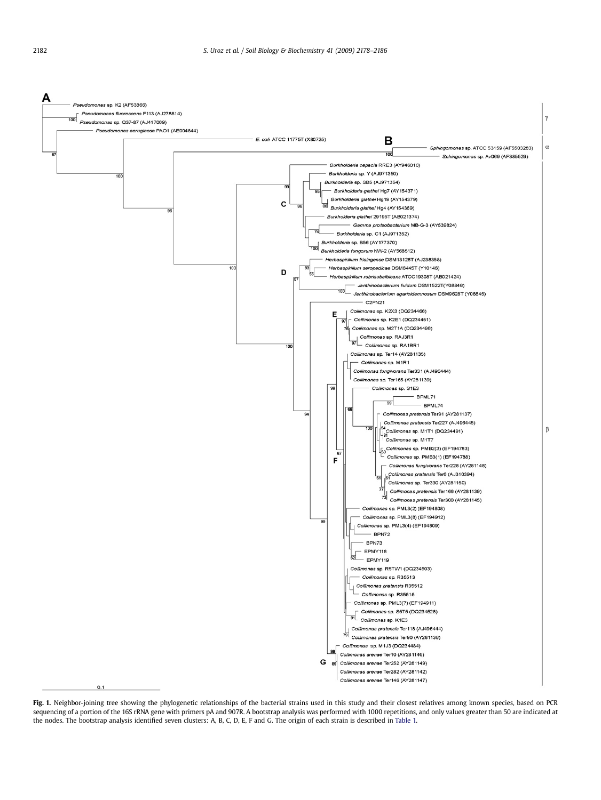<span id="page-4-0"></span>

Fig. 1. Neighbor-joining tree showing the phylogenetic relationships of the bacterial strains used in this study and their closest relatives among known species, based on PCR sequencing of a portion of the 16S rRNA gene with primers pA and 907R. A bootstrap analysis was performed with 1000 repetitions, and only values greater than 50 are indicated at the nodes. The bootstrap analysis identified seven clusters: A, B, C, D, E, F and G. The origin of each strain is described in [Table 1.](#page-2-0)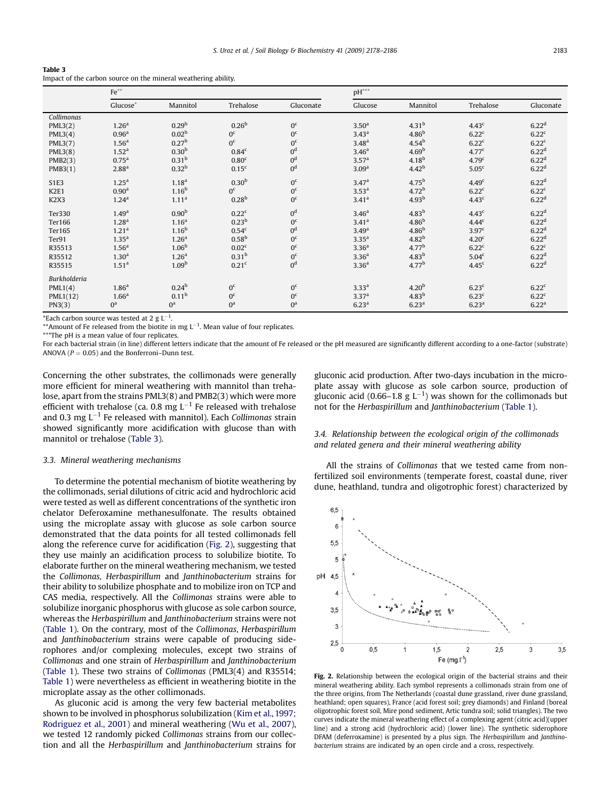<span id="page-5-0"></span>

| Table 3 |  |  |  |
|---------|--|--|--|
|         |  |  |  |

| Impact of the carbon source on the mineral weathering ability. |  |  |
|----------------------------------------------------------------|--|--|
|----------------------------------------------------------------|--|--|

|                               | $\mathrm{Fe}^{\ast\ast}$ |                       |                   |                | $pH^{***}$        |                   |                   |                   |
|-------------------------------|--------------------------|-----------------------|-------------------|----------------|-------------------|-------------------|-------------------|-------------------|
|                               | Glucose*                 | Mannitol              | Trehalose         | Gluconate      | Glucose           | Mannitol          | Trehalose         | Gluconate         |
| Collimonas                    |                          |                       |                   |                |                   |                   |                   |                   |
| PML3(2)                       | 1.26 <sup>a</sup>        | 0.29 <sup>b</sup>     | 0.26 <sup>b</sup> | 0 <sup>c</sup> | 3.50 <sup>a</sup> | 4.31 <sup>b</sup> | 4.43 <sup>c</sup> | 6.22 <sup>d</sup> |
| PML3(4)                       | 0.96 <sup>a</sup>        | 0.02 <sup>b</sup>     | 0 <sup>c</sup>    | 0 <sup>c</sup> | 3.43 <sup>a</sup> | 4.86 <sup>b</sup> | 6.22 <sup>c</sup> | 6.22 <sup>c</sup> |
| PML3(7)                       | 1.56 <sup>a</sup>        | 0.27 <sup>b</sup>     | 0 <sup>c</sup>    | 0 <sup>c</sup> | 3.48 <sup>a</sup> | $4.54^{b}$        | 6.22 <sup>c</sup> | 6.22 <sup>c</sup> |
| PML3(8)                       | 1.52 <sup>a</sup>        | 0.30 <sup>b</sup>     | 0.84 <sup>c</sup> | 0 <sup>d</sup> | 3.46 <sup>a</sup> | 4.69 <sup>b</sup> | 4.77 <sup>c</sup> | 6.22 <sup>d</sup> |
| PMB2(3)                       | 0.75 <sup>a</sup>        | 0.31 <sup>b</sup>     | 0.80 <sup>c</sup> | 0 <sup>d</sup> | 3.57 <sup>a</sup> | 4.18 <sup>b</sup> | 4.79 <sup>c</sup> | 6.22 <sup>d</sup> |
| PMB3(1)                       | 2.88 <sup>a</sup>        | $0.32^{b}$            | 0.15 <sup>c</sup> | 0 <sup>d</sup> | 3.09 <sup>a</sup> | $4.42^{b}$        | 5.05 <sup>c</sup> | 6.22 <sup>d</sup> |
| <b>S1E3</b>                   | 1.25 <sup>a</sup>        | 1.18 <sup>a</sup>     | 0.30 <sup>b</sup> | 0 <sup>c</sup> | 3.47 <sup>a</sup> | $4.75^{b}$        | 4.49 <sup>c</sup> | 6.22 <sup>d</sup> |
| K <sub>2E1</sub>              | 0.90 <sup>a</sup>        | $1.16^{b}$            | 0 <sup>c</sup>    | 0 <sup>c</sup> | 3.53 <sup>a</sup> | 4.72 <sup>b</sup> | 6.22 <sup>c</sup> | 6.22 <sup>c</sup> |
| K <sub>2</sub> X <sub>3</sub> | 1.24 <sup>a</sup>        | 1.11 <sup>a</sup>     | 0.28 <sup>b</sup> | 0 <sup>c</sup> | 3.41 <sup>a</sup> | 4.93 <sup>b</sup> | 4.43 <sup>c</sup> | 6.22 <sup>d</sup> |
| Ter330                        | 1.49 <sup>a</sup>        | 0.90 <sup>b</sup>     | 0.22 <sup>c</sup> | 0 <sup>d</sup> | 3.46 <sup>a</sup> | $4.83^{b}$        | 4.43 <sup>c</sup> | 6.22 <sup>d</sup> |
| Ter166                        | 1.28 <sup>a</sup>        | 1.16 <sup>a</sup>     | 0.23 <sup>b</sup> | 0 <sup>c</sup> | 3.41 <sup>a</sup> | 4.86 <sup>b</sup> | 4.44 <sup>c</sup> | 6.22 <sup>d</sup> |
| Ter165                        | 1.21 <sup>a</sup>        | $1.16^{b}$            | 0.54 <sup>c</sup> | 0 <sup>d</sup> | 3.49 <sup>a</sup> | 4.86 <sup>b</sup> | 3.97 <sup>c</sup> | 6.22 <sup>d</sup> |
| Ter91                         | 1.35 <sup>a</sup>        | 1.26 <sup>a</sup>     | 0.58 <sup>b</sup> | 0 <sup>c</sup> | 3.35 <sup>a</sup> | 4.82 <sup>b</sup> | 4.20 <sup>c</sup> | 6.22 <sup>d</sup> |
| R35513                        | 1.56 <sup>a</sup>        | 1.06 <sup>b</sup>     | 0.02 <sup>c</sup> | 0 <sup>c</sup> | 3.36 <sup>a</sup> | 4.77 <sup>b</sup> | 6.22 <sup>c</sup> | 6.22 <sup>c</sup> |
| R35512                        | 1.30 <sup>a</sup>        | 1.26 <sup>a</sup>     | 0.31 <sup>b</sup> | 0 <sup>c</sup> | 3.36 <sup>a</sup> | $4.83^{b}$        | 5.04 <sup>c</sup> | 6.22 <sup>d</sup> |
| R35515                        | 1.51 <sup>a</sup>        | 1.09 <sup>b</sup>     | 0.21 <sup>c</sup> | 0 <sup>d</sup> | 3.36 <sup>a</sup> | 4.77 <sup>b</sup> | 4.45 <sup>c</sup> | 6.22 <sup>d</sup> |
| Burkholderia                  |                          |                       |                   |                |                   |                   |                   |                   |
| PML1(4)                       | 1.86 <sup>a</sup>        | $0.24^{b}$            | 0 <sup>c</sup>    | 0 <sup>c</sup> | 3.33 <sup>a</sup> | 4.20 <sup>b</sup> | 6.23 <sup>c</sup> | 6.22 <sup>c</sup> |
| PML1(12)                      | 1.66 <sup>a</sup>        | 0.11 <sup>b</sup>     | 0 <sup>c</sup>    | 0 <sup>c</sup> | 3.37 <sup>a</sup> | 4.83 <sup>b</sup> | 6.23 <sup>c</sup> | 6.22 <sup>c</sup> |
| PN3(3)                        | $0^a$                    | $0^a$<br>$\mathbf{H}$ | $0^a$             | $0^a$          | 6.23 <sup>a</sup> | 6.23 <sup>a</sup> | 6.23 <sup>a</sup> | 6.22 <sup>a</sup> |

\*Each carbon source was tested at 2 g  $L^{-1}$ .

\*\*Amount of Fe released from the biotite in mg  $L^{-1}$ . Mean value of four replicates.

\*\*\*The pH is a mean value of four replicates.

For each bacterial strain (in line) different letters indicate that the amount of Fe released or the pH measured are significantly different according to a one-factor (substrate) ANOVA ( $P = 0.05$ ) and the Bonferroni–Dunn test.

Concerning the other substrates, the collimonads were generally more efficient for mineral weathering with mannitol than trehalose, apart from the strains PML3(8) and PMB2(3) which were more efficient with trehalose (ca. 0.8 mg  $L^{-1}$  Fe released with trehalose and 0.3 mg  $L^{-1}$  Fe released with mannitol). Each Collimonas strain showed significantly more acidification with glucose than with mannitol or trehalose (Table 3).

## gluconic acid production. After two-days incubation in the microplate assay with glucose as sole carbon source, production of gluconic acid (0.66–1.8 g  $L^{-1}$ ) was shown for the collimonads but not for the Herbaspirillum and Janthinobacterium ([Table 1\)](#page-2-0).

## 3.3. Mineral weathering mechanisms

To determine the potential mechanism of biotite weathering by the collimonads, serial dilutions of citric acid and hydrochloric acid were tested as well as different concentrations of the synthetic iron chelator Deferoxamine methanesulfonate. The results obtained using the microplate assay with glucose as sole carbon source demonstrated that the data points for all tested collimonads fell along the reference curve for acidification (Fig. 2), suggesting that they use mainly an acidification process to solubilize biotite. To elaborate further on the mineral weathering mechanism, we tested the Collimonas, Herbaspirillum and Janthinobacterium strains for their ability to solubilize phosphate and to mobilize iron on TCP and CAS media, respectively. All the Collimonas strains were able to solubilize inorganic phosphorus with glucose as sole carbon source, whereas the Herbaspirillum and Janthinobacterium strains were not ([Table 1](#page-2-0)). On the contrary, most of the Collimonas, Herbaspirillum and Janthinobacterium strains were capable of producing siderophores and/or complexing molecules, except two strains of Collimonas and one strain of Herbaspirillum and Janthinobacterium ([Table 1](#page-2-0)). These two strains of Collimonas (PML3(4) and R35514; [Table 1\)](#page-2-0) were nevertheless as efficient in weathering biotite in the microplate assay as the other collimonads.

As gluconic acid is among the very few bacterial metabolites shown to be involved in phosphorus solubilization ([Kim et al., 1997;](#page-7-0) [Rodriguez et al., 2001\)](#page-7-0) and mineral weathering ([Wu et al., 2007\)](#page-8-0), we tested 12 randomly picked Collimonas strains from our collection and all the Herbaspirillum and Janthinobacterium strains for 3.4. Relationship between the ecological origin of the collimonads and related genera and their mineral weathering ability

All the strains of Collimonas that we tested came from nonfertilized soil environments (temperate forest, coastal dune, river dune, heathland, tundra and oligotrophic forest) characterized by



Fig. 2. Relationship between the ecological origin of the bacterial strains and their mineral weathering ability. Each symbol represents a collimonads strain from one of the three origins, from The Netherlands (coastal dune grassland, river dune grassland, heathland; open squares), France (acid forest soil; grey diamonds) and Finland (boreal oligotrophic forest soil, Mire pond sediment, Artic tundra soil; solid triangles). The two curves indicate the mineral weathering effect of a complexing agent (citric acid)(upper line) and a strong acid (hydrochloric acid) (lower line). The synthetic siderophore DFAM (deferroxamine) is presented by a plus sign. The Herbaspirillum and Janthinobacterium strains are indicated by an open circle and a cross, respectively.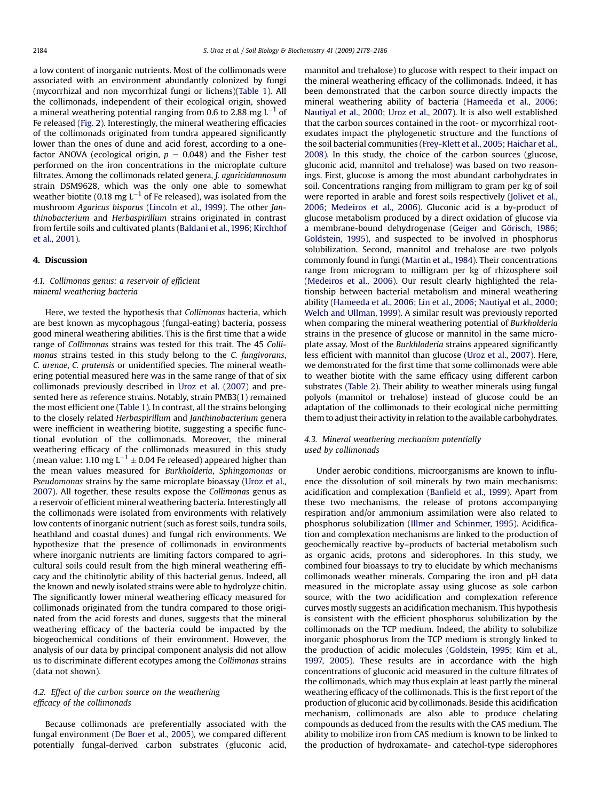a low content of inorganic nutrients. Most of the collimonads were associated with an environment abundantly colonized by fungi (mycorrhizal and non mycorrhizal fungi or lichens)([Table 1\)](#page-2-0). All the collimonads, independent of their ecological origin, showed a mineral weathering potential ranging from 0.6 to 2.88 mg  $L^{-1}$  of Fe released ([Fig. 2\)](#page-5-0). Interestingly, the mineral weathering efficacies of the collimonads originated from tundra appeared significantly lower than the ones of dune and acid forest, according to a onefactor ANOVA (ecological origin,  $p = 0.048$ ) and the Fisher test performed on the iron concentrations in the microplate culture filtrates. Among the collimonads related genera, J. agaricidamnosum strain DSM9628, which was the only one able to somewhat weather biotite (0.18 mg  $L^{-1}$  of Fe released), was isolated from the mushroom Agaricus bisporus [\(Lincoln et al., 1999\)](#page-7-0). The other Janthinobacterium and Herbaspirillum strains originated in contrast from fertile soils and cultivated plants [\(Baldani et al., 1996; Kirchhof](#page-7-0) [et al., 2001](#page-7-0)).

### 4. Discussion

## 4.1. Collimonas genus: a reservoir of efficient mineral weathering bacteria

Here, we tested the hypothesis that Collimonas bacteria, which are best known as mycophagous (fungal-eating) bacteria, possess good mineral weathering abilities. This is the first time that a wide range of Collimonas strains was tested for this trait. The 45 Collimonas strains tested in this study belong to the C. fungivorans, C. arenae, C. pratensis or unidentified species. The mineral weathering potential measured here was in the same range of that of six collimonads previously described in [Uroz et al. \(2007\)](#page-8-0) and presented here as reference strains. Notably, strain PMB3(1) remained the most efficient one [\(Table 1\)](#page-2-0). In contrast, all the strains belonging to the closely related Herbaspirillum and Janthinobacterium genera were inefficient in weathering biotite, suggesting a specific functional evolution of the collimonads. Moreover, the mineral weathering efficacy of the collimonads measured in this study (mean value: 1.10 mg  $L^{-1}$   $\pm$  0.04 Fe released) appeared higher than the mean values measured for Burkholderia, Sphingomonas or Pseudomonas strains by the same microplate bioassay [\(Uroz et al.,](#page-8-0) [2007\)](#page-8-0). All together, these results expose the Collimonas genus as a reservoir of efficient mineral weathering bacteria. Interestingly all the collimonads were isolated from environments with relatively low contents of inorganic nutrient (such as forest soils, tundra soils, heathland and coastal dunes) and fungal rich environments. We hypothesize that the presence of collimonads in environments where inorganic nutrients are limiting factors compared to agricultural soils could result from the high mineral weathering efficacy and the chitinolytic ability of this bacterial genus. Indeed, all the known and newly isolated strains were able to hydrolyze chitin. The significantly lower mineral weathering efficacy measured for collimonads originated from the tundra compared to those originated from the acid forests and dunes, suggests that the mineral weathering efficacy of the bacteria could be impacted by the biogeochemical conditions of their environment. However, the analysis of our data by principal component analysis did not allow us to discriminate different ecotypes among the Collimonas strains (data not shown).

### 4.2. Effect of the carbon source on the weathering efficacy of the collimonads

Because collimonads are preferentially associated with the fungal environment ([De Boer et al., 2005](#page-7-0)), we compared different potentially fungal-derived carbon substrates (gluconic acid, mannitol and trehalose) to glucose with respect to their impact on the mineral weathering efficacy of the collimonads. Indeed, it has been demonstrated that the carbon source directly impacts the mineral weathering ability of bacteria ([Hameeda et al., 2006;](#page-7-0) [Nautiyal et al., 2000; Uroz et al., 2007](#page-7-0)). It is also well established that the carbon sources contained in the root- or mycorrhizal rootexudates impact the phylogenetic structure and the functions of the soil bacterial communities ([Frey-Klett et al., 2005; Haichar et al.,](#page-7-0) [2008](#page-7-0)). In this study, the choice of the carbon sources (glucose, gluconic acid, mannitol and trehalose) was based on two reasonings. First, glucose is among the most abundant carbohydrates in soil. Concentrations ranging from milligram to gram per kg of soil were reported in arable and forest soils respectively [\(Jolivet et al.,](#page-7-0) [2006; Medeiros et al., 2006\)](#page-7-0). Gluconic acid is a by-product of glucose metabolism produced by a direct oxidation of glucose via a membrane-bound dehydrogenase (Geiger and Görisch, 1986; [Goldstein, 1995](#page-7-0)), and suspected to be involved in phosphorus solubilization. Second, mannitol and trehalose are two polyols commonly found in fungi ([Martin et al., 1984\)](#page-8-0). Their concentrations range from microgram to milligram per kg of rhizosphere soil ([Medeiros et al., 2006](#page-8-0)). Our result clearly highlighted the relationship between bacterial metabolism and mineral weathering ability ([Hameeda et al., 2006; Lin et al., 2006; Nautiyal et al., 2000;](#page-7-0) [Welch and Ullman, 1999](#page-7-0)). A similar result was previously reported when comparing the mineral weathering potential of Burkholderia strains in the presence of glucose or mannitol in the same microplate assay. Most of the Burkhloderia strains appeared significantly less efficient with mannitol than glucose [\(Uroz et al., 2007\)](#page-8-0). Here, we demonstrated for the first time that some collimonads were able to weather biotite with the same efficacy using different carbon substrates [\(Table 2](#page-3-0)). Their ability to weather minerals using fungal polyols (mannitol or trehalose) instead of glucose could be an adaptation of the collimonads to their ecological niche permitting them to adjust their activity in relation to the available carbohydrates.

### 4.3. Mineral weathering mechanism potentially used by collimonads

Under aerobic conditions, microorganisms are known to influence the dissolution of soil minerals by two main mechanisms: acidification and complexation [\(Banfield et al., 1999](#page-7-0)). Apart from these two mechanisms, the release of protons accompanying respiration and/or ammonium assimilation were also related to phosphorus solubilization [\(Illmer and Schinmer, 1995](#page-7-0)). Acidification and complexation mechanisms are linked to the production of geochemically reactive by–products of bacterial metabolism such as organic acids, protons and siderophores. In this study, we combined four bioassays to try to elucidate by which mechanisms collimonads weather minerals. Comparing the iron and pH data measured in the microplate assay using glucose as sole carbon source, with the two acidification and complexation reference curves mostly suggests an acidification mechanism. This hypothesis is consistent with the efficient phosphorus solubilization by the collimonads on the TCP medium. Indeed, the ability to solubilize inorganic phosphorus from the TCP medium is strongly linked to the production of acidic molecules [\(Goldstein, 1995; Kim et al.,](#page-7-0) [1997, 2005](#page-7-0)). These results are in accordance with the high concentrations of gluconic acid measured in the culture filtrates of the collimonads, which may thus explain at least partly the mineral weathering efficacy of the collimonads. This is the first report of the production of gluconic acid by collimonads. Beside this acidification mechanism, collimonads are also able to produce chelating compounds as deduced from the results with the CAS medium. The ability to mobilize iron from CAS medium is known to be linked to the production of hydroxamate- and catechol-type siderophores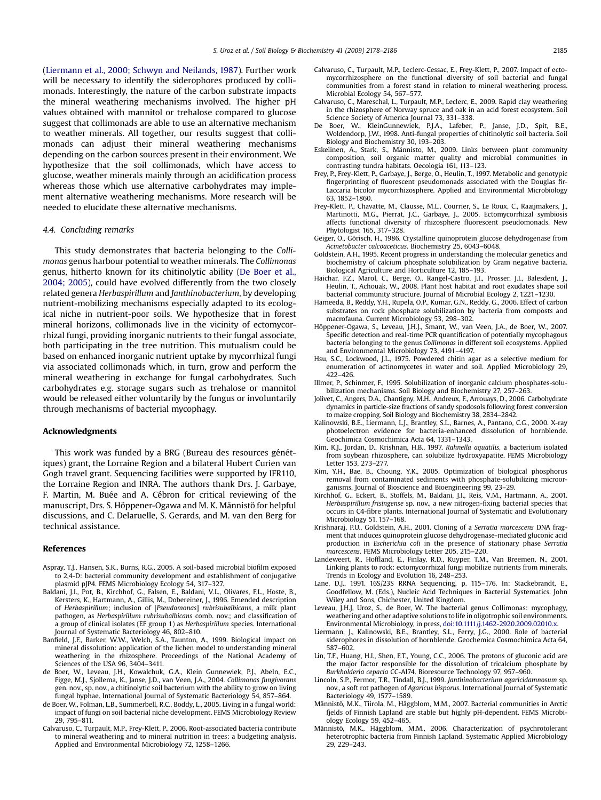<span id="page-7-0"></span>(Liermann et al., 2000; Schwyn and Neilands, 1987). Further work will be necessary to identify the siderophores produced by collimonads. Interestingly, the nature of the carbon substrate impacts the mineral weathering mechanisms involved. The higher pH values obtained with mannitol or trehalose compared to glucose suggest that collimonads are able to use an alternative mechanism to weather minerals. All together, our results suggest that collimonads can adjust their mineral weathering mechanisms depending on the carbon sources present in their environment. We hypothesize that the soil collimonads, which have access to glucose, weather minerals mainly through an acidification process whereas those which use alternative carbohydrates may implement alternative weathering mechanisms. More research will be needed to elucidate these alternative mechanisms.

#### 4.4. Concluding remarks

This study demonstrates that bacteria belonging to the Collimonas genus harbour potential to weather minerals. The Collimonas genus, hitherto known for its chitinolytic ability (De Boer et al., 2004; 2005), could have evolved differently from the two closely related genera Herbaspirillum and Janthinobacterium, by developing nutrient-mobilizing mechanisms especially adapted to its ecological niche in nutrient-poor soils. We hypothesize that in forest mineral horizons, collimonads live in the vicinity of ectomycorrhizal fungi, providing inorganic nutrients to their fungal associate, both participating in the tree nutrition. This mutualism could be based on enhanced inorganic nutrient uptake by mycorrhizal fungi via associated collimonads which, in turn, grow and perform the mineral weathering in exchange for fungal carbohydrates. Such carbohydrates e.g. storage sugars such as trehalose or mannitol would be released either voluntarily by the fungus or involuntarily through mechanisms of bacterial mycophagy.

#### Acknowledgments

This work was funded by a BRG (Bureau des resources génétiques) grant, the Lorraine Region and a bilateral Hubert Curien van Gogh travel grant. Sequencing facilities were supported by IFR110, the Lorraine Region and INRA. The authors thank Drs. J. Garbaye, F. Martin, M. Buée and A. Cébron for critical reviewing of the manuscript, Drs. S. Höppener-Ogawa and M. K. Männistö for helpful discussions, and C. Delaruelle, S. Gerards, and M. van den Berg for technical assistance.

#### References

- Aspray, T.J., Hansen, S.K., Burns, R.G., 2005. A soil-based microbial biofilm exposed to 2,4-D: bacterial community development and establishment of conjugative plasmid pJP4. FEMS Microbiology Ecology 54, 317–327.
- Baldani, J.I., Pot, B., Kirchhof, G., Falsen, E., Baldani, V.L., Olivares, F.L., Hoste, B., Kersters, K., Hartmann, A., Gillis, M., Dobereiner, J., 1996. Emended description of Herbaspirillum; inclusion of [Pseudomonas] rubrisubalbicans, a milk plant pathogen, as Herbaspirillum rubrisubalbicans comb. nov.; and classification of a group of clinical isolates (EF group 1) as Herbaspirillum species. International Journal of Systematic Bacteriology 46, 802–810.
- Banfield, J.F., Barker, W.W., Welch, S.A., Taunton, A., 1999. Biological impact on mineral dissolution: application of the lichen model to understanding mineral weathering in the rhizosphere. Proceedings of the National Academy of Sciences of the USA 96, 3404–3411.
- de Boer, W., Leveau, J.H., Kowalchuk, G.A., Klein Gunnewiek, P.J., Abeln, E.C., Figge, M.J., Sjollema, K., Janse, J.D., van Veen, J.A., 2004. Collimonas fungivorans gen. nov., sp. nov., a chitinolytic soil bacterium with the ability to grow on living fungal hyphae. International Journal of Systematic Bacteriology 54, 857–864.
- de Boer, W., Folman, L.B., Summerbell, R.C., Boddy, L., 2005. Living in a fungal world: impact of fungi on soil bacterial niche development. FEMS Microbiology Review 29, 795–811.
- Calvaruso, C., Turpault, M.P., Frey-Klett, P., 2006. Root-associated bacteria contribute to mineral weathering and to mineral nutrition in trees: a budgeting analysis. Applied and Environmental Microbiology 72, 1258–1266.
- Calvaruso, C., Turpault, M.P., Leclerc-Cessac, E., Frey-Klett, P., 2007. Impact of ectomycorrhizosphere on the functional diversity of soil bacterial and fungal communities from a forest stand in relation to mineral weathering process. Microbial Ecology 54, 567–577.
- Calvaruso, C., Mareschal, L., Turpault, M.P., Leclerc, E., 2009. Rapid clay weathering in the rhizosphere of Norway spruce and oak in an acid forest ecosystem. Soil Science Society of America Journal 73, 331–338.
- De Boer, W., KleinGunnewiek, P.J.A., Lafeber, P., Janse, J.D., Spit, B.E., Woldendorp, J.W., 1998. Anti-fungal properties of chitinolytic soil bacteria. Soil Biology and Biochemistry 30, 193–203.
- Eskelinen, A., Stark, S., Männisto, M., 2009. Links between plant community<br>composition, soil organic matter quality and microbial communities in contrasting tundra habitats. Oecologia 161, 113–123.
- Frey, P., Frey-Klett, P., Garbaye, J., Berge, O., Heulin, T., 1997. Metabolic and genotypic fingerprinting of fluorescent pseudomonads associated with the Douglas fir-Laccaria bicolor mycorrhizosphere. Applied and Environmental Microbiology 63, 1852–1860.
- Frey-Klett, P., Chavatte, M., Clausse, M.L., Courrier, S., Le Roux, C., Raaijmakers, J., Martinotti, M.G., Pierrat, J.C., Garbaye, J., 2005. Ectomycorrhizal symbiosis affects functional diversity of rhizosphere fluorescent pseudomonads. New Phytologist 165, 317–328.
- Geiger, O., Görisch, H., 1986. Crystalline quinoprotein glucose dehydrogenase from Acinetobacter calcoaceticus. Biochemistry 25, 6043–6048.
- Goldstein, A.H., 1995. Recent progress in understanding the molecular genetics and biochemistry of calcium phosphate solubilization by Gram negative bacteria. Biological Agriculture and Horticulture 12, 185–193.
- Haichar, F.Z., Marol, C., Berge, O., Rangel-Castro, J.I., Prosser, J.I., Balesdent, J. Heulin, T., Achouak, W., 2008. Plant host habitat and root exudates shape soil bacterial community structure. Journal of Microbial Ecology 2, 1221–1230.
- Hameeda, B., Reddy, Y.H., Rupela, O.P., Kumar, G.N., Reddy, G., 2006. Effect of carbon substrates on rock phosphate solubilization by bacteria from composts and macrofauna. Current Microbiology 53, 298–302.
- Höppener-Ogawa, S., Leveau, J.H.J., Smant, W., van Veen, J.A., de Boer, W., 2007. Specific detection and real-time PCR quantification of potentially mycophagous bacteria belonging to the genus Collimonas in different soil ecosystems. Applied and Environmental Microbiology 73, 4191–4197.
- Hsu, S.C., Lockwood, J.L., 1975. Powdered chitin agar as a selective medium for enumeration of actinomycetes in water and soil. Applied Microbiology 29, 422–426.
- Illmer, P., Schinmer, F., 1995. Solubilization of inorganic calcium phosphates-solubilization mechanisms. Soil Biology and Biochemistry 27, 257–263.
- Jolivet, C., Angers, D.A., Chantigny, M.H., Andreux, F., Arrouays, D., 2006. Carbohydrate dynamics in particle-size fractions of sandy spodosols following forest conversion to maize cropping. Soil Biology and Biochemistry 38, 2834–2842.
- Kalinowski, B.E., Liermann, L.J., Brantley, S.L., Barnes, A., Pantano, C.G., 2000. X-ray photoelectron evidence for bacteria-enhanced dissolution of hornblende. Geochimica Cosmochimica Acta 64, 1331–1343.
- Kim, K.J., Jordan, D., Krishnan, H.B., 1997. Rahnella aquatilis, a bacterium isolated from soybean rhizosphere, can solubilize hydroxyapatite. FEMS Microbiology Letter 153, 273–277.
- Kim, Y.H., Bae, B., Choung, Y.K., 2005. Optimization of biological phosphorus removal from contaminated sediments with phosphate-solubilizing microorganisms. Journal of Bioscience and Bioengineering 99, 23–29.
- Kirchhof, G., Eckert, B., Stoffels, M., Baldani, J.I., Reis, V.M., Hartmann, A., 2001. Herbaspirillum frisingense sp. nov., a new nitrogen-fixing bacterial species that occurs in C4-fibre plants. International Journal of Systematic and Evolutionary Microbiology 51, 157–168.
- Krishnaraj, P.U., Goldstein, A.H., 2001. Cloning of a Serratia marcescens DNA fragment that induces quinoprotein glucose dehydrogenase-mediated gluconic acid production in Escherichia coli in the presence of stationary phase Serratia marcescens. FEMS Microbiology Letter 205, 215–220.
- Landeweert, R., Hoffland, E., Finlay, R.D., Kuyper, T.M., Van Breemen, N., 2001. Linking plants to rock: ectomycorrhizal fungi mobilize nutrients from minerals. Trends in Ecology and Evolution 16, 248–253.
- Lane, D.J., 1991. 16S/23S RRNA Sequencing, p. 115–176. In: Stackebrandt, E., Goodfellow, M. (Eds.), Nucleic Acid Techniques in Bacterial Systematics. John Wiley and Sons, Chichester, United Kingdom.
- Leveau, J.H.J, Uroz, S., de Boer, W. The bacterial genus Collimonas: mycophagy, weathering and other adaptive solutions to life in oligotrophic soil environments. Environmental Microbiology, in press, [doi:10.1111/j.1462-2920.2009.02010.x](http://dx.doi.org/doi:10.1111/j.1462-2920.2009.02010.x).
- Liermann, J., Kalinowski, B.E., Brantley, S.L., Ferry, J.G., 2000. Role of bacterial siderophores in dissolution of hornblende. Geochemica Cosmochimica Acta 64, 587–602.
- Lin, T.F., Huang, H.I., Shen, F.T., Young, C.C., 2006. The protons of gluconic acid are the major factor responsible for the dissolution of tricalcium phosphate by Burkholderia cepacia CC-Al74. Bioresource Technology 97, 957–960.
- Lincoln, S.P., Fermor, T.R., Tindall, B.J., 1999. Janthinobacterium agaricidamnosum sp. nov., a soft rot pathogen of Agaricus bisporus. International Journal of Systematic Bacteriology 49, 1577–1589.
- Männistö, M.K., Tiirola, M., Häggblom, M.M., 2007. Bacterial communities in Arctic fjelds of Finnish Lapland are stable but highly pH-dependent. FEMS Microbiology Ecology 59, 452–465.<br>Männistö, M.K., Häggblom, M.M., 2006. Characterization of psychrotolerant
- heterotrophic bacteria from Finnish Lapland. Systematic Applied Microbiology 29, 229–243.